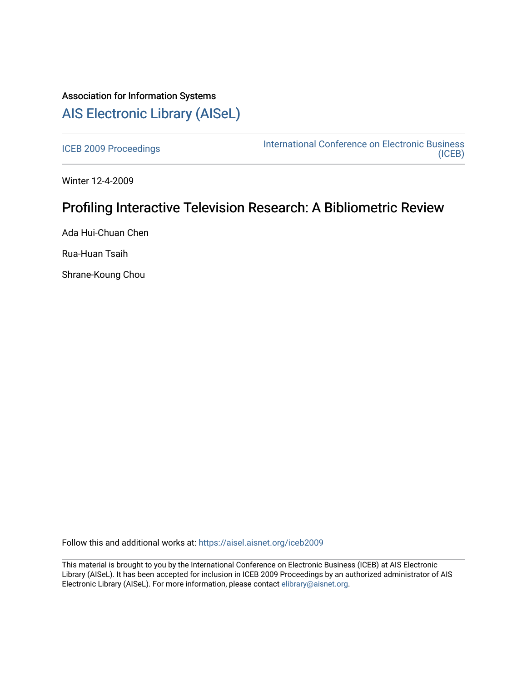## Association for Information Systems [AIS Electronic Library \(AISeL\)](https://aisel.aisnet.org/)

[ICEB 2009 Proceedings](https://aisel.aisnet.org/iceb2009) **International Conference on Electronic Business** [\(ICEB\)](https://aisel.aisnet.org/iceb) 

Winter 12-4-2009

# Profiling Interactive Television Research: A Bibliometric Review

Ada Hui-Chuan Chen

Rua-Huan Tsaih

Shrane-Koung Chou

Follow this and additional works at: [https://aisel.aisnet.org/iceb2009](https://aisel.aisnet.org/iceb2009?utm_source=aisel.aisnet.org%2Ficeb2009%2F91&utm_medium=PDF&utm_campaign=PDFCoverPages)

This material is brought to you by the International Conference on Electronic Business (ICEB) at AIS Electronic Library (AISeL). It has been accepted for inclusion in ICEB 2009 Proceedings by an authorized administrator of AIS Electronic Library (AISeL). For more information, please contact [elibrary@aisnet.org.](mailto:elibrary@aisnet.org%3E)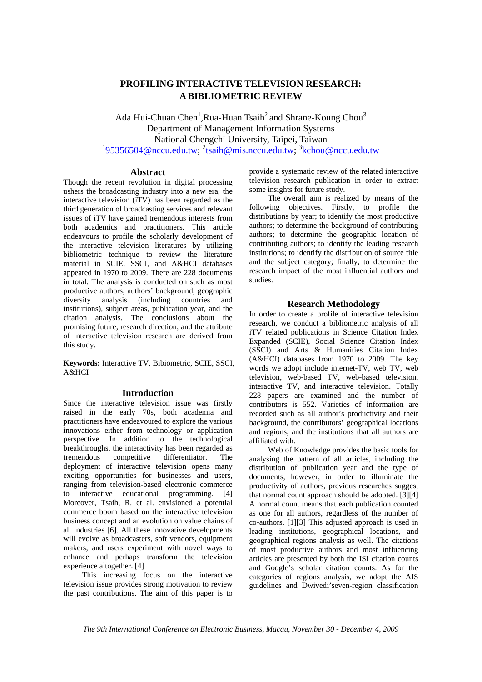## **PROFILING INTERACTIVE TELEVISION RESEARCH: A BIBLIOMETRIC REVIEW**

Ada Hui-Chuan Chen<sup>1</sup>, Rua-Huan Tsaih<sup>2</sup> and Shrane-Koung Chou<sup>3</sup> Department of Management Information Systems National Chengchi University, Taipei, Taiwan <sup>1</sup>95356504@nccu.edu.tw; <sup>2</sup>tsaih@mis.nccu.edu.tw; <sup>3</sup>kchou@nccu.edu.tw

## **Abstract**

Though the recent revolution in digital processing ushers the broadcasting industry into a new era, the interactive television (iTV) has been regarded as the third generation of broadcasting services and relevant issues of iTV have gained tremendous interests from both academics and practitioners. This article endeavours to profile the scholarly development of the interactive television literatures by utilizing bibliometric technique to review the literature material in SCIE, SSCI, and A&HCI databases appeared in 1970 to 2009. There are 228 documents in total. The analysis is conducted on such as most productive authors, authors' background, geographic diversity analysis (including countries and institutions), subject areas, publication year, and the citation analysis. The conclusions about the promising future, research direction, and the attribute of interactive television research are derived from this study.

**Keywords:** Interactive TV, Bibiometric, SCIE, SSCI, A&HCI

## **Introduction**

Since the interactive television issue was firstly raised in the early 70s, both academia and practitioners have endeavoured to explore the various innovations either from technology or application perspective. In addition to the technological breakthroughs, the interactivity has been regarded as tremendous competitive differentiator. The deployment of interactive television opens many exciting opportunities for businesses and users. ranging from television-based electronic commerce to interactive educational programming. [4] Moreover, Tsaih, R. et al. envisioned a potential commerce boom based on the interactive television business concept and an evolution on value chains of all industries [6]. All these innovative developments will evolve as broadcasters, soft vendors, equipment makers, and users experiment with novel ways to enhance and perhaps transform the television experience altogether. [4]

 This increasing focus on the interactive television issue provides strong motivation to review the past contributions. The aim of this paper is to

provide a systematic review of the related interactive television research publication in order to extract some insights for future study.

 The overall aim is realized by means of the following objectives. Firstly, to profile the distributions by year; to identify the most productive authors; to determine the background of contributing authors; to determine the geographic location of contributing authors; to identify the leading research institutions; to identify the distribution of source title and the subject category; finally, to determine the research impact of the most influential authors and studies.

## **Research Methodology**

In order to create a profile of interactive television research, we conduct a bibliometric analysis of all iTV related publications in Science Citation Index Expanded (SCIE), Social Science Citation Index (SSCI) and Arts & Humanities Citation Index (A&HCI) databases from 1970 to 2009. The key words we adopt include internet-TV, web TV, web television, web-based TV, web-based television, interactive TV, and interactive television. Totally 228 papers are examined and the number of contributors is 552. Varieties of information are recorded such as all author's productivity and their background, the contributors' geographical locations and regions, and the institutions that all authors are affiliated with.

 Web of Knowledge provides the basic tools for analysing the pattern of all articles, including the distribution of publication year and the type of documents, however, in order to illuminate the productivity of authors, previous researches suggest that normal count approach should be adopted. [3][4] A normal count means that each publication counted as one for all authors, regardless of the number of co-authors. [1][3] This adjusted approach is used in leading institutions, geographical locations, and geographical regions analysis as well. The citations of most productive authors and most influencing articles are presented by both the ISI citation counts and Google's scholar citation counts. As for the categories of regions analysis, we adopt the AIS guidelines and Dwivedi'seven-region classification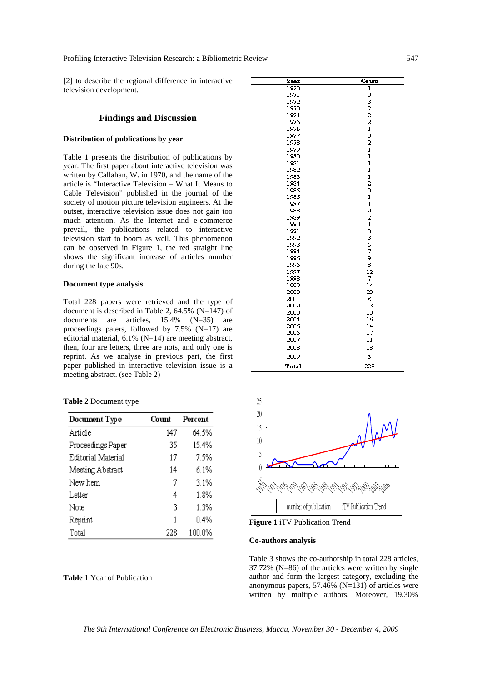[2] to describe the regional difference in interactive television development.

## **Findings and Discussion**

## **Distribution of publications by year**

Table 1 presents the distribution of publications by year. The first paper about interactive television was written by Callahan, W. in 1970, and the name of the article is "Interactive Television – What It Means to Cable Television" published in the journal of the society of motion picture television engineers. At the outset, interactive television issue does not gain too much attention. As the Internet and e-commerce prevail, the publications related to interactive television start to boom as well. This phenomenon can be observed in Figure 1, the red straight line shows the significant increase of articles number during the late 90s.

## **Document type analysis**

Total 228 papers were retrieved and the type of document is described in Table 2, 64.5% (N=147) of documents are articles, 15.4% (N=35) are proceedings paters, followed by 7.5% (N=17) are editorial material, 6.1% (N=14) are meeting abstract, then, four are letters, three are nots, and only one is reprint. As we analyse in previous part, the first paper published in interactive television issue is a meeting abstract. (see Table 2)

|  | Table 2 Document type |  |
|--|-----------------------|--|
|--|-----------------------|--|

| Document Type      | Count | Percent |
|--------------------|-------|---------|
| Article            | 147   | 64.5%   |
| Proceedings Paper  | 35    | 15.4%   |
| Editorial Material | 17    | 7.5%    |
| Meeting Abstract   | 14    | 6.1%    |
| New Item           | 7     | 3.1%    |
| Letter             | 4     | 1.8%    |
| Note               | 3     | 1.3%    |
| Reprint            | 1     | 0.4%    |
| Total              | 228   | 100.0%  |

### **Table 1** Year of Publication

| Year          | Count                          |
|---------------|--------------------------------|
| 1970          | ı                              |
| 1971          | o                              |
| 1972          | $\frac{3}{2}$ $\frac{2}{2}$    |
| 1973          |                                |
| 1974          |                                |
| 1975          |                                |
| 1976          | $\mathbf{1}$                   |
| 1977          | o                              |
| 1978          | $\overline{a}$                 |
| 1979          | $\bf{l}$                       |
| 1980          | $\mathbf{1}$                   |
| 1981          | $\mathbf{1}$                   |
| 1982          | ı                              |
| 1983          | $\mathbf{1}$<br>$\overline{a}$ |
| 1984          | o                              |
| 1985<br>1986  | ı                              |
| 1987          | $\mathbf{1}$                   |
| 1988          | $\overline{a}$                 |
| 1989          | 2                              |
| 1990          |                                |
| 1991          | 133579                         |
| 1992          |                                |
| 1993          |                                |
| 1994          |                                |
| 1995          |                                |
| 1996          | 8                              |
| 1997          | 12                             |
| 1998          | 7                              |
| 1999          | 14                             |
| 2000          | 20                             |
| 2001          | 8                              |
| 2002          | 13                             |
| 2003          | 10                             |
| 2004          | 16                             |
| 2005          | 14                             |
| 2006          | 17                             |
| 2007          | 11                             |
| 2008          | 18                             |
| 2009          | 6                              |
| <b>T</b> otal | 228                            |
|               |                                |



**Figure 1** iTV Publication Trend

#### **Co-authors analysis**

Table 3 shows the co-authorship in total 228 articles, 37.72% (N=86) of the articles were written by single author and form the largest category, excluding the anonymous papers, 57.46% (N=131) of articles were written by multiple authors. Moreover, 19.30%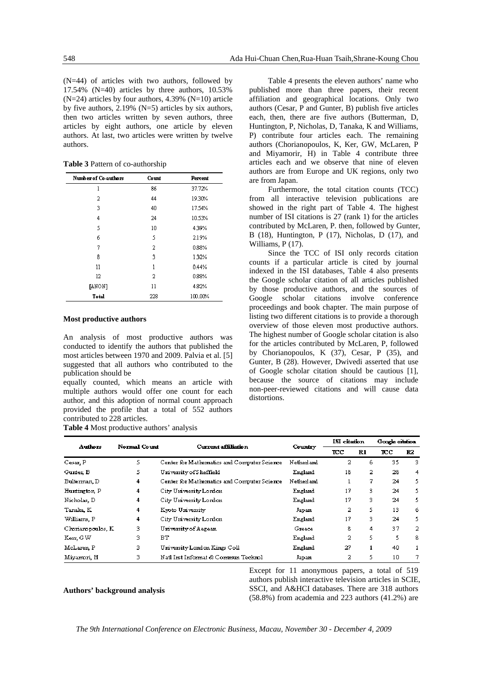(N=44) of articles with two authors, followed by 17.54% (N=40) articles by three authors, 10.53%  $(N=24)$  articles by four authors, 4.39%  $(N=10)$  article by five authors, 2.19% (N=5) articles by six authors, then two articles written by seven authors, three articles by eight authors, one article by eleven authors. At last, two articles were written by twelve authors.

| <b>Number of Co-authors</b> | Count | Percent |
|-----------------------------|-------|---------|
| ı                           | 86    | 37.72%  |
| 2                           | 44    | 19.30%  |
| 3                           | 40    | 17.54%  |
| 4                           | 24    | 10.53%  |
| 5                           | 10    | 439%    |
| 6                           | 5     | 2.19%   |
| 7                           | 2     | 0.88%   |
| 8                           | 3     | 132%    |
| 11                          | 1     | 0.44%   |
| 12                          | 2     | 0.88%   |
| [ANON]                      | 11    | 482%    |
| <b>Total</b>                | 228   | 100.00% |

**Table 3** Pattern of co-authorship

#### **Most productive authors**

An analysis of most productive authors was conducted to identify the authors that published the most articles between 1970 and 2009. Palvia et al. [5] suggested that all authors who contributed to the publication should be

equally counted, which means an article with multiple authors would offer one count for each author, and this adoption of normal count approach provided the profile that a total of 552 authors contributed to 228 articles.

**Table 4** Most productive authors' analysis

Table 4 presents the eleven authors' name who published more than three papers, their recent affiliation and geographical locations. Only two authors (Cesar, P and Gunter, B) publish five articles each, then, there are five authors (Butterman, D, Huntington, P, Nicholas, D, Tanaka, K and Williams, P) contribute four articles each. The remaining authors (Chorianopoulos, K, Ker, GW, McLaren, P and Miyamorir, H) in Table 4 contribute three articles each and we observe that nine of eleven authors are from Europe and UK regions, only two are from Japan.

 Furthermore, the total citation counts (TCC) from all interactive television publications are showed in the right part of Table 4. The highest number of ISI citations is 27 (rank 1) for the articles contributed by McLaren, P. then, followed by Gunter, B (18), Huntington, P (17), Nicholas, D (17), and Williams, P (17).

Since the TCC of ISI only records citation counts if a particular article is cited by journal indexed in the ISI databases, Table 4 also presents the Google scholar citation of all articles published by those productive authors, and the sources of Google scholar citations involve conference proceedings and book chapter. The main purpose of listing two different citations is to provide a thorough overview of those eleven most productive authors. The highest number of Google scholar citation is also for the articles contributed by McLaren, P, followed by Chorianopoulos, K (37), Cesar, P (35), and Gunter, B (28). However, Dwivedi asserted that use of Google scholar citation should be cautious [1], because the source of citations may include non-peer-reviewed citations and will cause data distortions.

| Authors            | <b>Normal Count</b> | Current affiliation                         |            | ISI citation |    | Google citation |    |
|--------------------|---------------------|---------------------------------------------|------------|--------------|----|-----------------|----|
|                    |                     |                                             | Country    | тсс          | R1 | <b>TCC</b>      | R2 |
| Cesar, P           | 5.                  | Center for Mathematics and Computer Science | Netherland | 2            | 6  | 35              | 3. |
| Gunter, B          | 5                   | University of Sheffield                     | England    | 18           | 2  | 28              | 4  |
| Bulterman, D       | 4                   | Center for Mathematics and Computer Science | Netherland |              | 7  | 24              | 5. |
| Huntington, P      | 4                   | City University London                      | England    | 17           | 3  | 24              | 5. |
| Nicholas, D        | 4                   | City University London                      | England    | 17           | 3  | 24              | 5. |
| Tanaka, K          | 4                   | Kvoto University                            | Japan      | 2            | 5. | 13              | 6  |
| Williams, P        | 4                   | City University London                      | England    | 17           | 3  | 24              | 5. |
| Choriamopoulos, K. | 3.                  | University of Aegean                        | Greece     | 8            | 4  | 37              | 2  |
| Kerr, GW           | з                   | BТ                                          | England    | 2            | 5. | 5.              | 8  |
| McLaren, P         | 3.                  | University London Kings Coll                | England    | 27           |    | 40              |    |
| Miyamori, H        | з                   | Natl Inst Informat & Commun Technol         | Japan      | 2            | 5  | 10              | 7  |

**Authors' background analysis** 

Except for 11 anonymous papers, a total of 519 authors publish interactive television articles in SCIE, SSCI, and A&HCI databases. There are 318 authors (58.8%) from academia and 223 authors (41.2%) are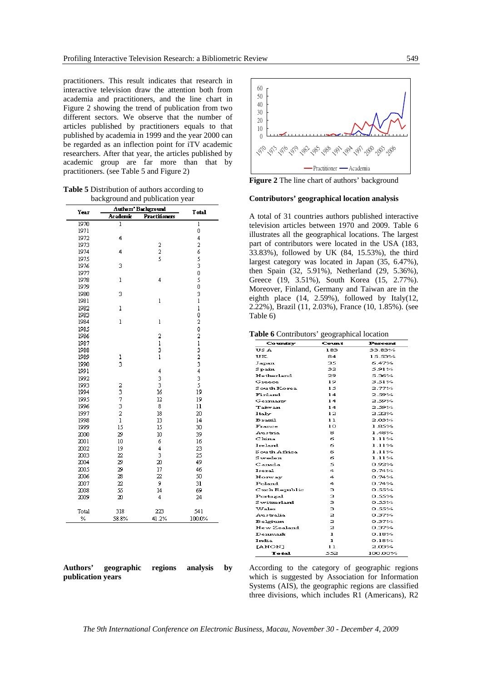practitioners. This result indicates that research in interactive television draw the attention both from academia and practitioners, and the line chart in Figure 2 showing the trend of publication from two different sectors. We observe that the number of articles published by practitioners equals to that published by academia in 1999 and the year 2000 can be regarded as an inflection point for iTV academic researchers. After that year, the articles published by academic group are far more than that by practitioners. (see Table 5 and Figure 2)

| <b>Table 5</b> Distribution of authors according to |
|-----------------------------------------------------|
| background and publication year                     |

| Year  |              | Authors' Background  |                             |  |  |  |  |
|-------|--------------|----------------------|-----------------------------|--|--|--|--|
|       | Academic     | <b>Practitioners</b> | <b>T</b> otal               |  |  |  |  |
| 1970  | l            |                      | l                           |  |  |  |  |
| 1971  |              |                      | 0                           |  |  |  |  |
| 1972  | 4            |                      | 4                           |  |  |  |  |
| 1973  |              |                      | 2                           |  |  |  |  |
| 1974  | 4            | $\frac{2}{5}$        | 6                           |  |  |  |  |
| 1975  |              |                      | s<br>3                      |  |  |  |  |
| 1976  | 3            |                      |                             |  |  |  |  |
| 1977  |              |                      | 0                           |  |  |  |  |
| 1978  | ı            | 4                    | 5                           |  |  |  |  |
| 1979  |              |                      | Ō                           |  |  |  |  |
| 1980  | 3            |                      | 3                           |  |  |  |  |
| 1981  |              | l                    | $\mathbf{1}$                |  |  |  |  |
| 1982  | ı            |                      | $\mathbf 1$                 |  |  |  |  |
| 1983  |              |                      | 0                           |  |  |  |  |
| 1984  | $\mathbf{l}$ | ı                    | 2                           |  |  |  |  |
| 1985  |              |                      | 0                           |  |  |  |  |
| 1986  |              | $\overline{a}$       | 2                           |  |  |  |  |
| 1987  |              | ı                    |                             |  |  |  |  |
| 1988  |              | 3                    |                             |  |  |  |  |
| 1989  | ı            | $\mathbf{1}$         |                             |  |  |  |  |
| 1990  | 3            |                      | $\frac{1}{3}$ $\frac{3}{4}$ |  |  |  |  |
| 1991  |              | 4                    |                             |  |  |  |  |
| 1992  |              | 3                    | 3<br>5                      |  |  |  |  |
| 1993  |              | 3                    |                             |  |  |  |  |
| 1994  |              | 16                   | 19                          |  |  |  |  |
| 1995  | 23732        | $\overline{12}$      | 19                          |  |  |  |  |
| 1996  |              | 8                    | 11                          |  |  |  |  |
| 1997  |              | 18                   | 20                          |  |  |  |  |
| 1998  | ı            | 13                   | 14                          |  |  |  |  |
| 1999  | 15           | 15                   | 30                          |  |  |  |  |
| 2000  | 29           | 10                   | 39                          |  |  |  |  |
| 2001  | 10           | 6                    | 16                          |  |  |  |  |
| 2002  | 19           | 4                    | 23                          |  |  |  |  |
| 2003  | 22           | 3                    | 25                          |  |  |  |  |
| 2004  | 29           | 20                   | 49                          |  |  |  |  |
| 2005  | 29           | 17                   | 46                          |  |  |  |  |
| 2006  | 28           | 22                   | 50                          |  |  |  |  |
| 2007  | 22           | 9                    | 31                          |  |  |  |  |
| 2008  | 55           | 14<br>4              | 69                          |  |  |  |  |
| 2009  | 20           |                      | 24                          |  |  |  |  |
| Total | 318          | 223                  | 541                         |  |  |  |  |
| ℅     | 58.8%        | 41.2%                | 100.0%                      |  |  |  |  |

| Authors'          | geographic | regions | analysis | $-$ <b>by</b> |
|-------------------|------------|---------|----------|---------------|
| publication years |            |         |          |               |



**Figure 2** The line chart of authors' background

## **Contributors' geographical location analysis**

A total of 31 countries authors published interactive television articles between 1970 and 2009. Table 6 illustrates all the geographical locations. The largest part of contributors were located in the USA (183, 33.83%), followed by UK (84, 15.53%), the third largest category was located in Japan (35, 6.47%), then Spain (32, 5.91%), Netherland (29, 5.36%), Greece (19, 3.51%), South Korea (15, 2.77%). Moreover, Finland, Germany and Taiwan are in the eighth place (14, 2.59%), followed by Italy(12, 2.22%), Brazil (11, 2.03%), France (10, 1.85%). (see Table 6)

**Table 6** Contributors' geographical location

| Country            | Count                   | Percent  |
|--------------------|-------------------------|----------|
| US A               | 183                     | 33.83%   |
| πк                 | 84                      | 15.53%   |
| Japan              | 35                      | 6.47%    |
| Spain              | 32                      | 5.91%    |
| Netherland         | 29                      | 5.36%    |
| Greece             | 19                      | 3.51%    |
| South Korea        | 15                      | 2.77%    |
| Finland            | 14                      | 2.59%    |
| Germany            | 14                      | 2.59%    |
| Taiwan             | 14                      | 2.59%    |
| Italy              | 12                      | 2.22%    |
| Brazil             | 11                      | 2.03%    |
| France             | 10                      | 1.85%    |
| Austria            | 8                       | 1.48%    |
| $C$ hina           | 6                       | 1.11%    |
| Ireland            | б                       | 1.11%    |
| South Africa       | а                       | 1.11%    |
| Sweden             | 6                       | 1.11%    |
| Canada             | 5                       | 0.92%    |
| Iseral             | 4                       | 0.74%    |
| Norway             | 4                       | 0.74%    |
| Poland             | 4                       | 0.74%    |
| Czch Republic      | з                       | 0.55%    |
| Portugal           | з                       | 0.55%    |
| <b>Switzerland</b> | з                       | 0.55%    |
| Wales              | з                       | 0.55%    |
| Australia          | $\mathfrak{p}$          | 0.37%    |
| Belgium            | $\overline{\mathbf{z}}$ | 0.37%    |
| New Zealand        | 2                       | 0.37%    |
| Denmark            | ı                       | $0.18\%$ |
| India              | ı                       | 0.18%    |
| <b>TANON1</b>      | 11                      | 2.03%    |
| Total              | 552                     | 100.00%  |

According to the category of geographic regions which is suggested by Association for Information Systems (AIS), the geographic regions are classified three divisions, which includes R1 (Americans), R2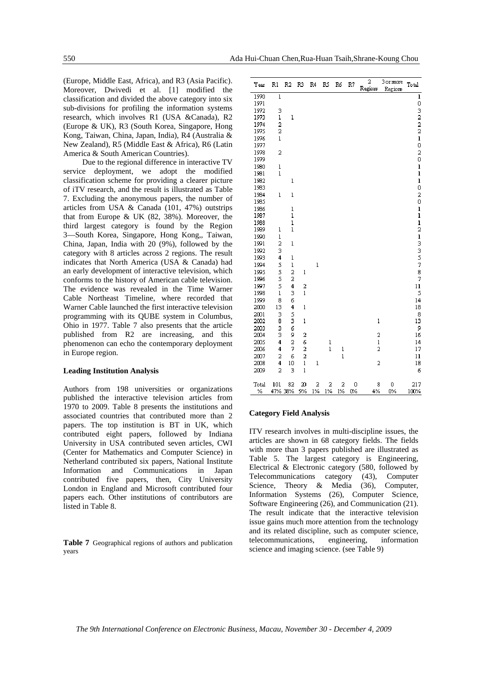(Europe, Middle East, Africa), and R3 (Asia Pacific). Moreover, Dwivedi et al. [1] modified the classification and divided the above category into six sub-divisions for profiling the information systems research, which involves R1 (USA &Canada), R2 (Europe & UK), R3 (South Korea, Singapore, Hong Kong, Taiwan, China, Japan, India), R4 (Australia & New Zealand), R5 (Middle East & Africa), R6 (Latin America & South American Countries).

 Due to the regional difference in interactive TV service deployment, we adopt the modified classification scheme for providing a clearer picture of iTV research, and the result is illustrated as Table 7. Excluding the anonymous papers, the number of articles from USA & Canada (101, 47%) outstrips that from Europe & UK (82, 38%). Moreover, the third largest category is found by the Region 3—South Korea, Singapore, Hong Kong,, Taiwan, China, Japan, India with 20 (9%), followed by the category with 8 articles across 2 regions. The result indicates that North America (USA & Canada) had an early development of interactive television, which conforms to the history of American cable television. The evidence was revealed in the Time Warner Cable Northeast Timeline, where recorded that Warner Cable launched the first interactive television programming with its QUBE system in Columbus, Ohio in 1977. Table 7 also presents that the article published from R2 are increasing, and this phenomenon can echo the contemporary deployment in Europe region.

#### **Leading Institution Analysis**

Authors from 198 universities or organizations published the interactive television articles from 1970 to 2009. Table 8 presents the institutions and associated countries that contributed more than 2 papers. The top institution is BT in UK, which contributed eight papers, followed by Indiana University in USA contributed seven articles, CWI (Center for Mathematics and Computer Science) in Netherland contributed six papers, National Institute Information and Communications in Japan contributed five papers, then, City University London in England and Microsoft contributed four papers each. Other institutions of contributors are listed in Table 8.

**Table 7** Geographical regions of authors and publication years

| Y ear        | R1             | R <sub>2</sub>          | R3          | R4      | RS            | R6           | R7      | $\overline{2}$<br>Regions | 3 or more<br>Regions | Total                                |
|--------------|----------------|-------------------------|-------------|---------|---------------|--------------|---------|---------------------------|----------------------|--------------------------------------|
| 1970         | l              |                         |             |         |               |              |         |                           |                      | l                                    |
| 1971         |                |                         |             |         |               |              |         |                           |                      |                                      |
| 1972         | 3              |                         |             |         |               |              |         |                           |                      |                                      |
| 1973         | $\mathbf{l}$   | $\mathbf 1$             |             |         |               |              |         |                           |                      |                                      |
| 1974         | $\frac{2}{2}$  |                         |             |         |               |              |         |                           |                      |                                      |
| 1975         |                |                         |             |         |               |              |         |                           |                      |                                      |
| 1976         | $\mathbf 1$    |                         |             |         |               |              |         |                           |                      | $\mathbf{1}$                         |
| 1977         |                |                         |             |         |               |              |         |                           |                      | 0                                    |
| 1978         | 2              |                         |             |         |               |              |         |                           |                      | $\frac{2}{0}$                        |
| 1979         |                |                         |             |         |               |              |         |                           |                      |                                      |
| 1980         | l              |                         |             |         |               |              |         |                           |                      | $\,$ $\,$                            |
| 1981         | $\bf{l}$       |                         |             |         |               |              |         |                           |                      | $\begin{array}{c} \end{array}$       |
| 1982         |                | ı                       |             |         |               |              |         |                           |                      | $\,$ $\,$                            |
| 1983         |                |                         |             |         |               |              |         |                           |                      | 0                                    |
| 1984         | l              | l                       |             |         |               |              |         |                           |                      | $\begin{matrix} 2 \\ 0 \end{matrix}$ |
| 1985<br>1986 |                | l                       |             |         |               |              |         |                           |                      |                                      |
| 1987         |                | ı                       |             |         |               |              |         |                           |                      | $\,$ $\,$<br>$\mathbf{l}$            |
| 1988         |                | $\mathbf 1$             |             |         |               |              |         |                           |                      | $\mathbf{1}$                         |
| 1989         | l              | $\mathbf{l}$            |             |         |               |              |         |                           |                      | $\overline{\mathbf{c}}$              |
| 1990         | $\mathbf{1}$   |                         |             |         |               |              |         |                           |                      |                                      |
| 1991         | 2              | l                       |             |         |               |              |         |                           |                      |                                      |
| 1992         | 3              |                         |             |         |               |              |         |                           |                      |                                      |
| 1993         | 4              | l                       |             |         |               |              |         |                           |                      |                                      |
| 1994         | 5              | l                       |             | l       |               |              |         |                           |                      | $\frac{1}{3}$ 3 5 7                  |
| 1995         | s              | $\overline{a}$          | l           |         |               |              |         |                           |                      | 8                                    |
| 1996         | s              | $\overline{\mathbf{c}}$ |             |         |               |              |         |                           |                      | 7                                    |
| 1997         | s              | 4                       | 2           |         |               |              |         |                           |                      | 11                                   |
| 1998         | l              | 3                       | $\mathbf 1$ |         |               |              |         |                           |                      | S                                    |
| 1999         | 8              | 6                       |             |         |               |              |         |                           |                      | 14                                   |
| 2000         | 13             | 4                       | ı           |         |               |              |         |                           |                      | 18                                   |
| 2001         | 3              | S                       |             |         |               |              |         |                           |                      | 8                                    |
| 2002         | 8              | 3                       | ı           |         |               |              |         | l                         |                      | 13                                   |
| 2003         | 3              | 6                       |             |         |               |              |         |                           |                      | 9                                    |
| 2004         | 3              | 9                       | 2           |         |               |              |         | 2                         |                      | 16                                   |
| 2005         | 4              | $\overline{a}$          | 6           |         | $\frac{1}{1}$ |              |         | $\bf{l}$                  |                      | 14                                   |
| 2006         | 4              | 7                       | 2           |         |               | l            |         | $\overline{a}$            |                      | 17                                   |
| 2007         | 2              | 6                       | 2           |         |               | $\mathbf{1}$ |         |                           |                      | 11                                   |
| 2008         | 4              | 10                      | ı           | ı       |               |              |         | 2                         |                      | 18                                   |
| 2009         | $\overline{a}$ | 3                       | l           |         |               |              |         |                           |                      | 6                                    |
|              |                |                         |             |         |               |              |         |                           |                      |                                      |
| Total<br>℅   | 101<br>47%     | 82<br>38%               | 20<br>9%    | 2<br>1% | 2<br>1%       | 2<br>1%      | 0<br>0% | 8<br>4%                   | 0<br>0%              | 217<br>100%                          |

## **Category Field Analysis**

ITV research involves in multi-discipline issues, the articles are shown in 68 category fields. The fields with more than 3 papers published are illustrated as Table 5. The largest category is Engineering, Electrical & Electronic category (580, followed by Telecommunications category (43), Computer Science, Theory & Media (36), Computer, Information Systems (26), Computer Science, Software Engineering (26), and Communication (21). The result indicate that the interactive television issue gains much more attention from the technology and its related discipline, such as computer science, telecommunications, engineering, information science and imaging science. (see Table 9)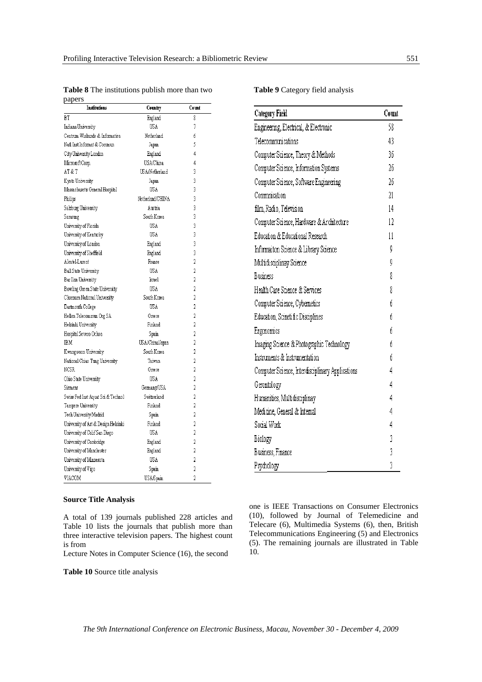| papers<br>Institutions              | Country          | Count          |
|-------------------------------------|------------------|----------------|
| ВT                                  | England          | 8              |
| Indiana University                  | USA              | 7              |
| Centrum Wiskunde & Informatica      | Netherland       | 6              |
| Natl Inst Informat & Commun         | Japan            | 5              |
| City University London              | England          | 4              |
| Microsoft Corp.                     | <b>USA/China</b> | 4              |
| AT & T                              | USA/Netherland   | 3              |
| Kyoto University                    | Japan            | 3              |
| Massachusetts General Hospital      | USA              | 3              |
| Philips                             | Netherland/CHINA | 3              |
| Salzburg University                 | Austria          | 3              |
| Samsung                             | South Korea      | 3              |
| University of Florida               | USA              | 3              |
| University of Kentucky              | USA              | 3              |
| University of London                | England          | 3              |
| University of Sheffield             | England          | 3              |
| Alcatel-Lucent                      | France           | 2              |
| Ball State University               | USA              | 2              |
| Bar Ilan University                 | <b>Israel</b>    | 2              |
| Bowling Green State University      | <b>USA</b>       | $\overline{2}$ |
| Chonnam National University         | South Korea      | 2              |
| Dartmouth College                   | USA              | 2              |
| Hellen Telecommun Org SA            | Greece           | 2              |
| Helsinki University                 | Finland          | 2              |
| Hospital Severo Ochoa               | Spain            | 2              |
| IBM                                 | US A/China/Japan | 2              |
| Kwangwoon University                | South Korea      | 2              |
| National Chiao Tung University      | Taiwan           | 2              |
| NCSR                                | Greece           | 2              |
| Ohio State University               | USA              | 2              |
| Siemens                             | Germany/USA      | 2              |
| Swiss Fed Inst Aquat Sci & Technol  | Switzerland      | 2              |
| Tampere University                  | Finland          | 2              |
| Tech University Madrid              | Spain            | 2              |
| University of Art & Design Helsinki | Finland          | $\overline{a}$ |
| University of Calif San Diego       | USA              | 2              |
| University of Cambridge             | England          | $\overline{a}$ |
| University of Manchester            | England          | 2              |
| University of Minnesota             | USA              | 2              |
| University of Vigo                  | Spain            | 2              |
| VIACOM                              | USA/Spain        | 2              |

**Table 8** The institutions publish more than two papers

## **Source Title Analysis**

A total of 139 journals published 228 articles and Table 10 lists the journals that publish more than three interactive television papers. The highest count is from

Lecture Notes in Computer Science (16), the second

**Table 10** Source title analysis

**Table 9** Category field analysis

| Category Field                                   | Count |
|--------------------------------------------------|-------|
| Engineering, Electrical, & Electronic            | 58    |
| Telecommunications                               | 43    |
| Computer Science, Theory & Methods               | 36    |
| Computer Science, Information Systems            | 26    |
| Computer Science, Software Engineering           | 26    |
| Commnication                                     | 21    |
| film, Radio, Television                          | 14    |
| Computer Science, Hardware & Architecture        | 12    |
| Education & Educational Research                 | 11    |
| Informaiton Science & Library Science            | Q     |
| Multidisciplinay Science                         | g     |
| Business                                         | 8     |
| Health Care Science & Services                   | 8     |
| Computer Science, Cybemetics                     | ń     |
| Education, Scinetific Disciplines                | б     |
| Ergonomics                                       | ń     |
| Imaging Science & Photographic Technology        | ń     |
| Instruments & Instrumentation                    | ń     |
| Computer Science, Interdisciplinary Applications | 4     |
| Gerontology                                      | 4     |
| Humanities, Multidisciplinay                     | 4     |
| Medicine, General & Internal                     | 4     |
| Social Work                                      | 4     |
| Biology                                          | 3     |
| Business, Finance                                | 3     |
| Psychology                                       | 3     |

one is IEEE Transactions on Consumer Electronics (10), followed by Journal of Telemedicine and Telecare (6), Multimedia Systems (6), then, British Telecommunications Engineering (5) and Electronics (5). The remaining journals are illustrated in Table 10.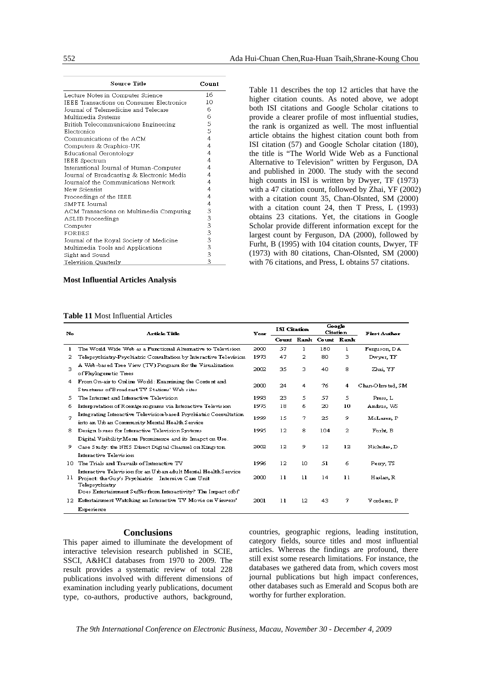| Source Title                               | Count                                 |
|--------------------------------------------|---------------------------------------|
| Lecture Notes in Computer Science          | 16                                    |
| IEEE Transactions on Consumer Electronics  | 10                                    |
| Journal of Telemedicine and Telecare       | 6                                     |
| Multimedia Systems                         | 6                                     |
| British Telecommunicaions Engineering      | 5                                     |
| Electronics                                | 5                                     |
| Communications of the ACM                  | 4                                     |
| Computers & Graphics-UK                    | 4                                     |
| Educational Gerontology                    | 4                                     |
| IEEE Spectrum                              | 4                                     |
| Interantional Journal of Human-Computer    | 4                                     |
| Journal of Broadcasting & Electronic Media | 4                                     |
| Journalof the Communications Network       | 4                                     |
| New Scientist                              | 4                                     |
| Proceedings of the IEEE                    | 4                                     |
| SMPTE Journal                              | 4                                     |
| ACM Transactions on Multimedia Computing   | 3                                     |
| ASLIB Proceedings                          | 3                                     |
| Computer                                   | $\begin{array}{c} 3 \\ 3 \end{array}$ |
| FORBES                                     |                                       |
| Journal of the Royal Society of Medicine   |                                       |
| Multimedia Tools and Applications          | 3                                     |
| Sight and Sound                            | 3                                     |
| Television Quarterly                       | 3                                     |

**Most Influential Articles Analysis** 

## **Table 11** Most Influential Articles

Table 11 describes the top 12 articles that have the higher citation counts. As noted above, we adopt both ISI citations and Google Scholar citations to provide a clearer profile of most influential studies, the rank is organized as well. The most influential article obtains the highest citation count both from ISI citation (57) and Google Scholar citation (180), the title is "The World Wide Web as a Functional Alternative to Television" written by Ferguson, DA and published in 2000. The study with the second high counts in ISI is written by Dwyer, TF (1973) with a 47 citation count, followed by Zhai, YF (2002) with a citation count 35, Chan-Olsnted, SM (2000) with a citation count 24, then T Press, L (1993) obtains 23 citations. Yet, the citations in Google Scholar provide different information except for the largest count by Ferguson, DA (2000), followed by Furht, B (1995) with 104 citation counts, Dwyer, TF (1973) with 80 citations, Chan-Olsnted, SM (2000) with 76 citations, and Press, L obtains 57 citations.

| No  | <b>Article Title</b>                                                                                                                     | Year | <b>ISI Citation</b> |    | Google<br>Citation    |    | <b>First Author</b> |
|-----|------------------------------------------------------------------------------------------------------------------------------------------|------|---------------------|----|-----------------------|----|---------------------|
|     |                                                                                                                                          |      |                     |    | Count Rank Count Rank |    |                     |
| ı   | The World Wide Web as a Functional Alternative to Television                                                                             | 2000 | 57                  | 1  | 180                   | ı  | Ferguson, DA        |
| 2   | Telepsychiatry-Psychiatric Consultation by Interactive Television                                                                        | 1973 | 47                  | 2  | 80                    | з  | Dwyer, TF           |
| з   | A Web-based Tree View (TV) Program for the Visualization<br>of Phylogenetic Trees                                                        | 2002 | 35                  | з  | 40                    | 8  | Zhai, YF            |
| 4   | From On-air to Online World: Examining the Content and<br>Structures of Broadcast TV Stations' Web sites                                 | 2000 | 24                  | 4  | 76                    | 4  | Chan-Olmsted, SM    |
| 5.  | The Internet and Interactive Television                                                                                                  | 1993 | 23                  | 5  | 57                    | 5. | Press, L            |
| 6   | Interpretation of Roentge nograms via Interactive Television                                                                             | 1975 | 18                  | 6  | 20                    | 10 | Andrus, WS          |
| 7   | Integrating Interactive Television-based Psychiatric Consultation<br>into an Urb an Community Mental Health Service                      | 1999 | 15                  | 7  | 25                    | 9  | McLaren P           |
| 8.  | Design Issues for Interactive Television Systems                                                                                         | 1995 | $12 \overline{ }$   | 8  | 104                   | 2  | Furlt B             |
|     | Digital Visibility.Meru Prominence and its Imapet on Use.                                                                                |      |                     |    |                       |    |                     |
| 9.  | Case Study: the NHS Direct Digital Channel on Kingston                                                                                   | 2002 | 12                  | 9  | 12                    | 12 | Nicholas, D         |
|     | Interactive Television                                                                                                                   |      |                     |    |                       |    |                     |
| 10. | The Trials and Travails of Interactive TV                                                                                                | 1996 | 12                  | 10 | 51                    | 6  | Perry, TS           |
| 11  | Interactive Television for an U iban adult Mental Health Service<br>Project: the Guy's Psychiatric Intensive Care Unit<br>Telepsychiatry | 2000 | 11                  | 11 | 14                    | 11 | Haslan, R           |
|     | Does Entertainment Suffer from Interactivity? The Impact of of                                                                           |      |                     |    |                       |    |                     |
| 12. | Ertertainment Watching an Interactive TV Movie on Viewers'                                                                               | 2001 | 11                  | 12 | 43                    | 7  | V orderer, P        |
|     | Experience                                                                                                                               |      |                     |    |                       |    |                     |

## **Conclusions**

This paper aimed to illuminate the development of interactive television research published in SCIE, SSCI, A&HCI databases from 1970 to 2009. The result provides a systematic review of total 228 publications involved with different dimensions of examination including yearly publications, document type, co-authors, productive authors, background, countries, geographic regions, leading institution, category fields, source titles and most influential articles. Whereas the findings are profound, there still exist some research limitations. For instance, the databases we gathered data from, which covers most journal publications but high impact conferences, other databases such as Emerald and Scopus both are worthy for further exploration.

*The 9th International Conference on Electronic Business, Macau, November 30 - December 4, 2009*